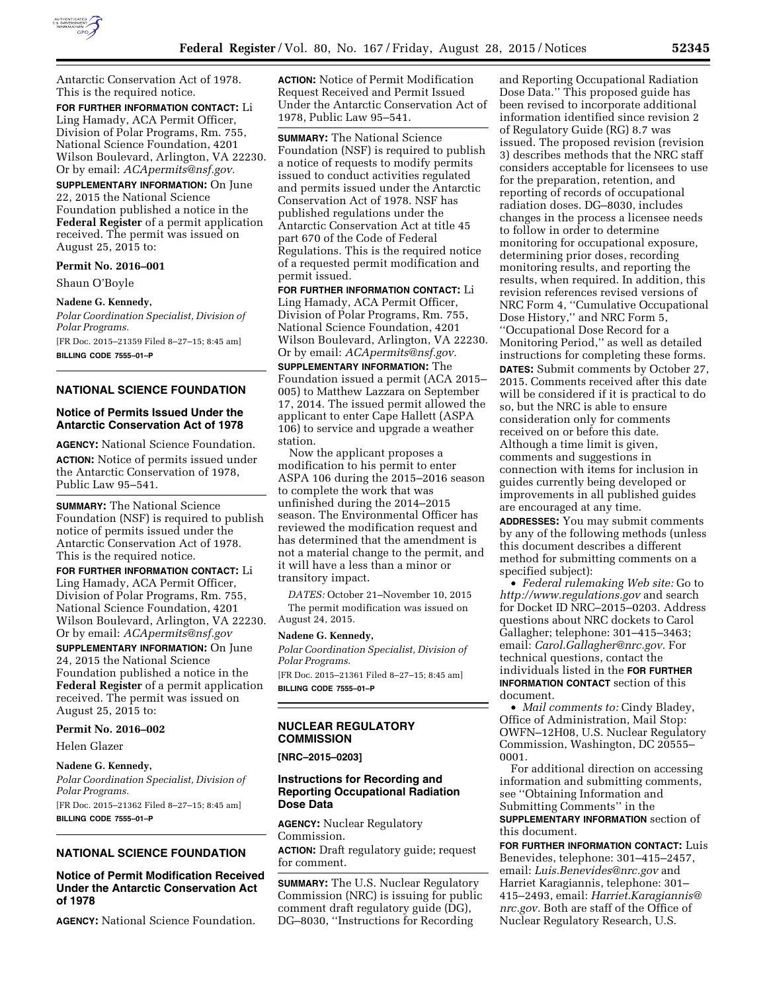

Antarctic Conservation Act of 1978. This is the required notice.

**FOR FURTHER INFORMATION CONTACT:** Li Ling Hamady, ACA Permit Officer, Division of Polar Programs, Rm. 755, National Science Foundation, 4201 Wilson Boulevard, Arlington, VA 22230. Or by email: *[ACApermits@nsf.gov.](mailto:ACApermits@nsf.gov)* 

**SUPPLEMENTARY INFORMATION:** On June 22, 2015 the National Science Foundation published a notice in the **Federal Register** of a permit application received. The permit was issued on August 25, 2015 to:

#### **Permit No. 2016–001**

Shaun O'Boyle

**Nadene G. Kennedy,**  *Polar Coordination Specialist, Division of Polar Programs.*  [FR Doc. 2015–21359 Filed 8–27–15; 8:45 am] **BILLING CODE 7555–01–P** 

## **NATIONAL SCIENCE FOUNDATION**

## **Notice of Permits Issued Under the Antarctic Conservation Act of 1978**

**AGENCY:** National Science Foundation. **ACTION:** Notice of permits issued under the Antarctic Conservation of 1978, Public Law 95–541.

**SUMMARY:** The National Science Foundation (NSF) is required to publish notice of permits issued under the Antarctic Conservation Act of 1978. This is the required notice.

**FOR FURTHER INFORMATION CONTACT:** Li Ling Hamady, ACA Permit Officer, Division of Polar Programs, Rm. 755, National Science Foundation, 4201 Wilson Boulevard, Arlington, VA 22230. Or by email: *[ACApermits@nsf.gov](mailto:ACApermits@nsf.gov)* 

**SUPPLEMENTARY INFORMATION:** On June 24, 2015 the National Science Foundation published a notice in the **Federal Register** of a permit application received. The permit was issued on August 25, 2015 to:

#### **Permit No. 2016–002**

Helen Glazer

#### **Nadene G. Kennedy,**

*Polar Coordination Specialist, Division of Polar Programs.* 

[FR Doc. 2015–21362 Filed 8–27–15; 8:45 am]

**BILLING CODE 7555–01–P** 

# **NATIONAL SCIENCE FOUNDATION**

## **Notice of Permit Modification Received Under the Antarctic Conservation Act of 1978**

**AGENCY:** National Science Foundation.

**ACTION:** Notice of Permit Modification Request Received and Permit Issued Under the Antarctic Conservation Act of 1978, Public Law 95–541.

**SUMMARY:** The National Science Foundation (NSF) is required to publish a notice of requests to modify permits issued to conduct activities regulated and permits issued under the Antarctic Conservation Act of 1978. NSF has published regulations under the Antarctic Conservation Act at title 45 part 670 of the Code of Federal Regulations. This is the required notice of a requested permit modification and permit issued.

**FOR FURTHER INFORMATION CONTACT:** Li Ling Hamady, ACA Permit Officer, Division of Polar Programs, Rm. 755, National Science Foundation, 4201 Wilson Boulevard, Arlington, VA 22230. Or by email: *[ACApermits@nsf.gov.](mailto:ACApermits@nsf.gov)* 

**SUPPLEMENTARY INFORMATION:** The Foundation issued a permit (ACA 2015– 005) to Matthew Lazzara on September 17, 2014. The issued permit allowed the applicant to enter Cape Hallett (ASPA 106) to service and upgrade a weather station.

Now the applicant proposes a modification to his permit to enter ASPA 106 during the 2015–2016 season to complete the work that was unfinished during the 2014–2015 season. The Environmental Officer has reviewed the modification request and has determined that the amendment is not a material change to the permit, and it will have a less than a minor or transitory impact.

*DATES:* October 21–November 10, 2015 The permit modification was issued on August 24, 2015.

#### **Nadene G. Kennedy,**

*Polar Coordination Specialist, Division of Polar Programs.*  [FR Doc. 2015–21361 Filed 8–27–15; 8:45 am]

**BILLING CODE 7555–01–P** 

## **NUCLEAR REGULATORY COMMISSION**

#### **[NRC–2015–0203]**

## **Instructions for Recording and Reporting Occupational Radiation Dose Data**

**AGENCY:** Nuclear Regulatory Commission. **ACTION:** Draft regulatory guide; request for comment.

**SUMMARY:** The U.S. Nuclear Regulatory Commission (NRC) is issuing for public comment draft regulatory guide (DG), DG–8030, ''Instructions for Recording

and Reporting Occupational Radiation Dose Data.'' This proposed guide has been revised to incorporate additional information identified since revision 2 of Regulatory Guide (RG) 8.7 was issued. The proposed revision (revision 3) describes methods that the NRC staff considers acceptable for licensees to use for the preparation, retention, and reporting of records of occupational radiation doses. DG–8030, includes changes in the process a licensee needs to follow in order to determine monitoring for occupational exposure, determining prior doses, recording monitoring results, and reporting the results, when required. In addition, this revision references revised versions of NRC Form 4, ''Cumulative Occupational Dose History,'' and NRC Form 5, ''Occupational Dose Record for a Monitoring Period,'' as well as detailed instructions for completing these forms. **DATES:** Submit comments by October 27, 2015. Comments received after this date will be considered if it is practical to do so, but the NRC is able to ensure consideration only for comments received on or before this date. Although a time limit is given, comments and suggestions in connection with items for inclusion in guides currently being developed or improvements in all published guides are encouraged at any time.

**ADDRESSES:** You may submit comments by any of the following methods (unless this document describes a different method for submitting comments on a specified subject):

• *Federal rulemaking Web site:* Go to *<http://www.regulations.gov>* and search for Docket ID NRC–2015–0203. Address questions about NRC dockets to Carol Gallagher; telephone: 301–415–3463; email: *[Carol.Gallagher@nrc.gov.](mailto:Carol.Gallagher@nrc.gov)* For technical questions, contact the individuals listed in the **FOR FURTHER INFORMATION CONTACT** section of this document.

• *Mail comments to:* Cindy Bladey, Office of Administration, Mail Stop: OWFN–12H08, U.S. Nuclear Regulatory Commission, Washington, DC 20555– 0001.

For additional direction on accessing information and submitting comments, see ''Obtaining Information and Submitting Comments'' in the **SUPPLEMENTARY INFORMATION** section of

this document.

**FOR FURTHER INFORMATION CONTACT:** Luis Benevides, telephone: 301–415–2457, email: *[Luis.Benevides@nrc.gov](mailto:Luis.Benevides@nrc.gov)* and Harriet Karagiannis, telephone: 301– 415–2493, email: *[Harriet.Karagiannis@](mailto:Harriet.Karagiannis@nrc.gov) [nrc.gov.](mailto:Harriet.Karagiannis@nrc.gov)* Both are staff of the Office of Nuclear Regulatory Research, U.S.